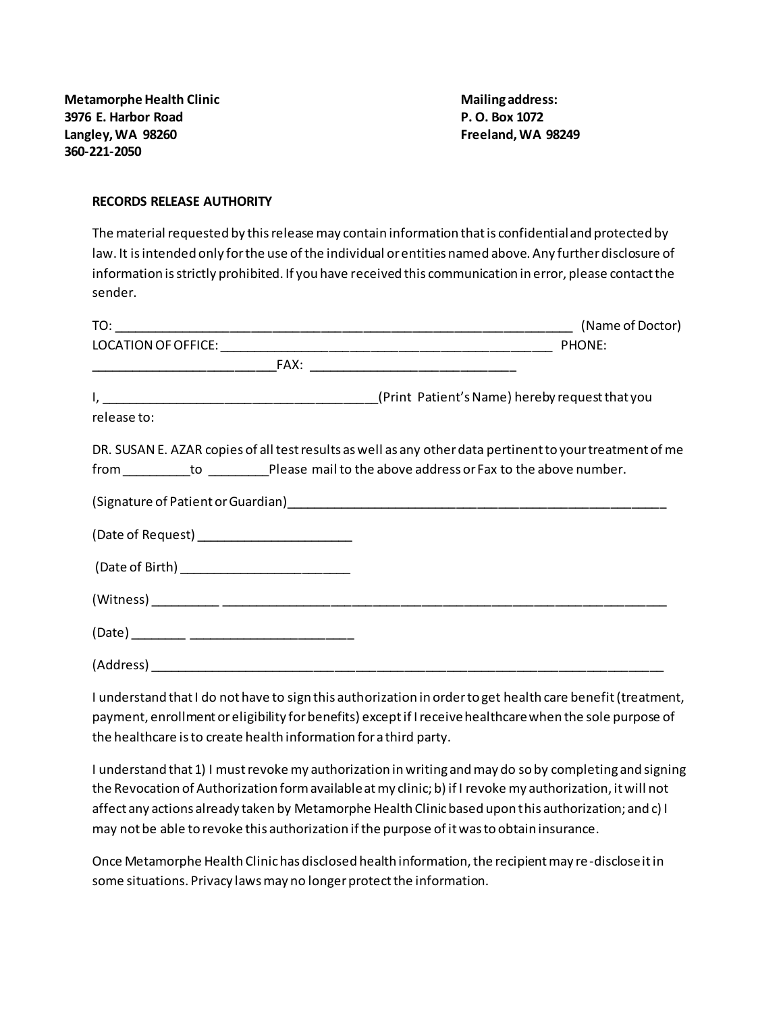**Metamorphe Health Clinic Mailing address: Mailing address: 3976 E. Harbor Road P. O. Box 1072 Langley, WA 98260 Freeland, WA 98249 360-221-2050**

## **RECORDS RELEASE AUTHORITY**

The material requested by this release may contain information that is confidential and protected by law. It is intended only for the use of the individual or entities named above. Any further disclosure of information is strictly prohibited. If you have received this communication in error, please contact the sender.

| release to:                                     |                                                                                                          |
|-------------------------------------------------|----------------------------------------------------------------------------------------------------------|
|                                                 | DR. SUSAN E. AZAR copies of all test results as well as any other data pertinent to your treatment of me |
|                                                 |                                                                                                          |
|                                                 |                                                                                                          |
|                                                 |                                                                                                          |
| (Date of Birth) _______________________________ |                                                                                                          |
|                                                 |                                                                                                          |
|                                                 |                                                                                                          |
|                                                 |                                                                                                          |

I understand that I do not have to sign this authorization in order to get health care benefit (treatment, payment, enrollment or eligibility for benefits) except if I receive healthcare when the sole purpose of the healthcare is to create health information for a third party.

I understand that 1) I must revoke my authorization in writing and may do so by completing and signing the Revocation of Authorization form available at my clinic; b) if I revoke my authorization, it will not affect any actions already taken by Metamorphe Health Clinic based upon this authorization; and c) I may not be able to revoke this authorization if the purpose of it was to obtain insurance.

Once Metamorphe Health Clinic has disclosed health information, the recipient may re-disclose it in some situations. Privacy laws may no longer protect the information.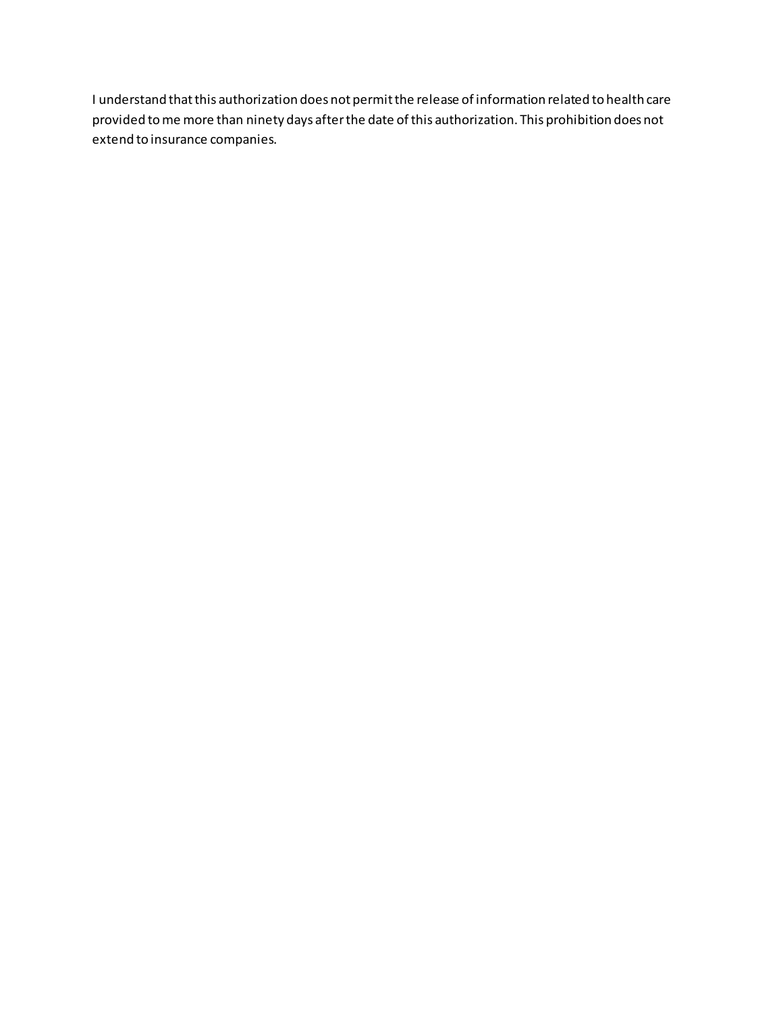I understand that this authorization does not permit the release of information related to health care provided to me more than ninety days after the date of this authorization. This prohibition does not extend to insurance companies.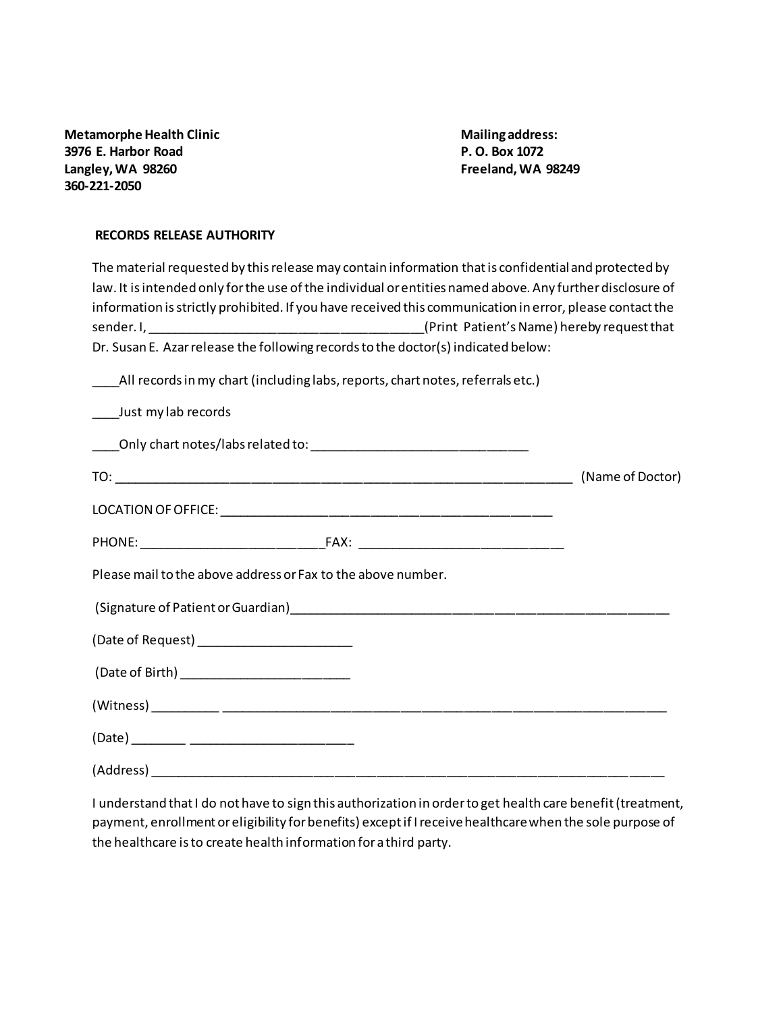**Metamorphe Health Clinic Mailing address: 3976 E. Harbor Road P. O. Box 1072 Langley, WA 98260 Freeland, WA 98249 360-221-2050**

## **RECORDS RELEASE AUTHORITY**

| The material requested by this release may contain information that is confidential and protected by      |                  |
|-----------------------------------------------------------------------------------------------------------|------------------|
| law. It is intended only for the use of the individual or entities named above. Any further disclosure of |                  |
| information is strictly prohibited. If you have received this communication in error, please contact the  |                  |
|                                                                                                           |                  |
| Dr. Susan E. Azar release the following records to the doctor(s) indicated below:                         |                  |
| All records in my chart (including labs, reports, chart notes, referrals etc.)                            |                  |
| Just my lab records                                                                                       |                  |
|                                                                                                           |                  |
|                                                                                                           | (Name of Doctor) |
|                                                                                                           |                  |
|                                                                                                           |                  |
| Please mail to the above address or Fax to the above number.                                              |                  |
|                                                                                                           |                  |
| (Date of Request) ________________________                                                                |                  |
|                                                                                                           |                  |
|                                                                                                           |                  |
|                                                                                                           |                  |
| (Address)                                                                                                 |                  |

I understand that I do not have to sign this authorization in order to get health care benefit (treatment, payment, enrollment or eligibility for benefits) except if I receive healthcare when the sole purpose of the healthcare is to create health information for a third party.